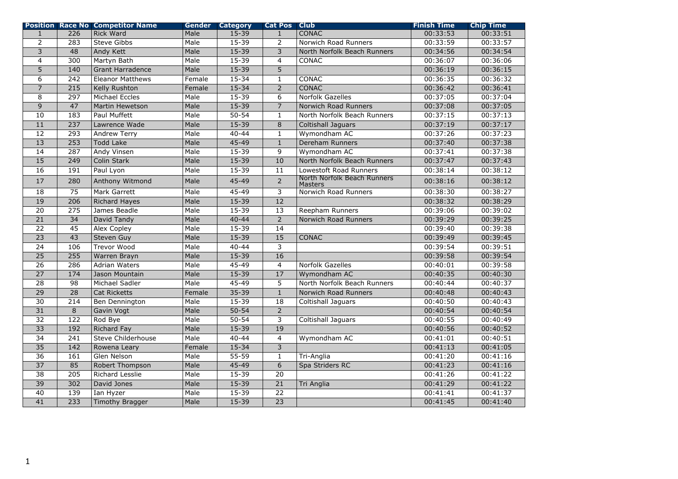|                 |                  | <b>Position Race No Competitor Name</b> | Gender | Category  | <b>Cat Pos</b> Club |                                               | <b>Finish Time</b> | <b>Chip Time</b> |
|-----------------|------------------|-----------------------------------------|--------|-----------|---------------------|-----------------------------------------------|--------------------|------------------|
| $\mathbf{1}$    | 226              | <b>Rick Ward</b>                        | Male   | $15 - 39$ | $\mathbf{1}$        | <b>CONAC</b>                                  | 00:33:53           | 00:33:51         |
| $\overline{2}$  | 283              | Steve Gibbs                             | Male   | 15-39     | 2                   | Norwich Road Runners                          | 00:33:59           | 00:33:57         |
| 3               | 48               | Andy Kett                               | Male   | $15 - 39$ | 3                   | North Norfolk Beach Runners                   | 00:34:56           | 00:34:54         |
| $\overline{4}$  | 300              | Martyn Bath                             | Male   | $15 - 39$ | $\overline{4}$      | <b>CONAC</b>                                  | 00:36:07           | 00:36:06         |
| $\overline{5}$  | 140              | <b>Grant Harradence</b>                 | Male   | $15 - 39$ | $\overline{5}$      |                                               | 00:36:19           | 00:36:15         |
| 6               | 242              | <b>Eleanor Matthews</b>                 | Female | 15-34     | $\mathbf{1}$        | CONAC                                         | 00:36:35           | 00:36:32         |
| $\overline{7}$  | 215              | Kelly Rushton                           | Female | $15 - 34$ | $\overline{2}$      | <b>CONAC</b>                                  | 00:36:42           | 00:36:41         |
| 8               | 297              | <b>Michael Eccles</b>                   | Male   | $15 - 39$ | 6                   | Norfolk Gazelles                              | 00:37:05           | 00:37:04         |
| 9               | 47               | <b>Martin Hewetson</b>                  | Male   | $15 - 39$ | $\overline{7}$      | Norwich Road Runners                          | 00:37:08           | 00:37:05         |
| 10              | $\frac{183}{ }$  | Paul Muffett                            | Male   | $50 - 54$ | $\mathbf{1}$        | North Norfolk Beach Runners                   | 00:37:15           | 00:37:13         |
| 11              | 237              | Lawrence Wade                           | Male   | $15 - 39$ | 8                   | Coltishall Jaguars                            | 00:37:19           | 00:37:17         |
| 12              | 293              | Andrew Terry                            | Male   | $40 - 44$ | $\mathbf{1}$        | Wymondham AC                                  | 00:37:26           | 00:37:23         |
| $\overline{13}$ | 253              | <b>Todd Lake</b>                        | Male   | $45 - 49$ | $\mathbf{1}$        | Dereham Runners                               | 00:37:40           | 00:37:38         |
| 14              | 287              | Andy Vinsen                             | Male   | 15-39     | 9                   | Wymondham AC                                  | 00:37:41           | 00:37:38         |
| 15              | 249              | Colin Stark                             | Male   | $15 - 39$ | 10                  | North Norfolk Beach Runners                   | 00:37:47           | 00:37:43         |
| 16              | 191              | Paul Lyon                               | Male   | $15 - 39$ | 11                  | Lowestoft Road Runners                        | 00:38:14           | 00:38:12         |
| 17              | 280              | Anthony Witmond                         | Male   | 45-49     | $\overline{2}$      | North Norfolk Beach Runners<br><b>Masters</b> | 00:38:16           | 00:38:12         |
| 18              | 75               | Mark Garrett                            | Male   | 45-49     | 3                   | Norwich Road Runners                          | 00:38:30           | 00:38:27         |
| $\overline{19}$ | $\overline{206}$ | <b>Richard Hayes</b>                    | Male   | $15 - 39$ | $\overline{12}$     |                                               | 00:38:32           | 00:38:29         |
| 20              | 275              | James Beadle                            | Male   | 15-39     | 13                  | Reepham Runners                               | 00:39:06           | 00:39:02         |
| $\overline{21}$ | 34               | David Tandy                             | Male   | $40 - 44$ | $\overline{2}$      | Norwich Road Runners                          | 00:39:29           | 00:39:25         |
| 22              | 45               | <b>Alex Copley</b>                      | Male   | 15-39     | 14                  |                                               | 00:39:40           | 00:39:38         |
| $\overline{23}$ | 43               | <b>Steven Guy</b>                       | Male   | $15 - 39$ | 15                  | CONAC                                         | 00:39:49           | 00:39:45         |
| $\overline{24}$ | 106              | Trevor Wood                             | Male   | $40 - 44$ | $\overline{3}$      |                                               | 00:39:54           | 00:39:51         |
| $\overline{25}$ | 255              | Warren Brayn                            | Male   | 15-39     | 16                  |                                               | 00:39:58           | 00:39:54         |
| 26              | 286              | <b>Adrian Waters</b>                    | Male   | 45-49     | $\overline{4}$      | Norfolk Gazelles                              | 00:40:01           | 00:39:58         |
| $\overline{27}$ | 174              | Jason Mountain                          | Male   | $15 - 39$ | 17                  | Wymondham AC                                  | 00:40:35           | 00:40:30         |
| $\overline{28}$ | 98               | Michael Sadler                          | Male   | $45 - 49$ | 5                   | North Norfolk Beach Runners                   | 00:40:44           | 00:40:37         |
| $\overline{29}$ | $\overline{28}$  | <b>Cat Ricketts</b>                     | Female | $35 - 39$ | $\mathbf{1}$        | Norwich Road Runners                          | 00:40:48           | 00:40:43         |
| $\overline{30}$ | $\overline{214}$ | Ben Dennington                          | Male   | $15 - 39$ | 18                  | Coltishall Jaguars                            | 00:40:50           | 00:40:43         |
| 31              | $\overline{8}$   | Gavin Vogt                              | Male   | $50 - 54$ | $\overline{2}$      |                                               | 00:40:54           | 00:40:54         |
| $\overline{32}$ | 122              | Rod Bye                                 | Male   | $50 - 54$ | $\overline{3}$      | Coltishall Jaguars                            | 00:40:55           | 00:40:49         |
| $\overline{33}$ | 192              | <b>Richard Fay</b>                      | Male   | $15 - 39$ | 19                  |                                               | 00:40:56           | 00:40:52         |
| $\overline{34}$ | $\overline{241}$ | <b>Steve Childerhouse</b>               | Male   | $40 - 44$ | $\overline{4}$      | Wymondham AC                                  | 00:41:01           | 00:40:51         |
| $\overline{35}$ | 142              | Rowena Leary                            | Female | $15 - 34$ | $\overline{3}$      |                                               | 00:41:13           | 00:41:05         |
| $\overline{36}$ | 161              | Glen Nelson                             | Male   | $55 - 59$ | $\mathbf{1}$        | Tri-Anglia                                    | 00:41:20           | 00:41:16         |
| $\overline{37}$ | 85               | Robert Thompson                         | Male   | $45 - 49$ | 6                   | Spa Striders RC                               | 00:41:23           | 00:41:16         |
| $\overline{38}$ | $\overline{205}$ | <b>Richard Lesslie</b>                  | Male   | $15 - 39$ | $\overline{20}$     |                                               | 00:41:26           | 00:41:22         |
| $\overline{39}$ | 302              | David Jones                             | Male   | $15 - 39$ | 21                  | Tri Anglia                                    | 00:41:29           | 00:41:22         |
| $\overline{40}$ | 139              | Ian Hyzer                               | Male   | $15 - 39$ | $\overline{22}$     |                                               | 00:41:41           | 00:41:37         |
| $\overline{41}$ | 233              | Timothy Bragger                         | Male   | $15 - 39$ | $\overline{23}$     |                                               | 00:41:45           | 00:41:40         |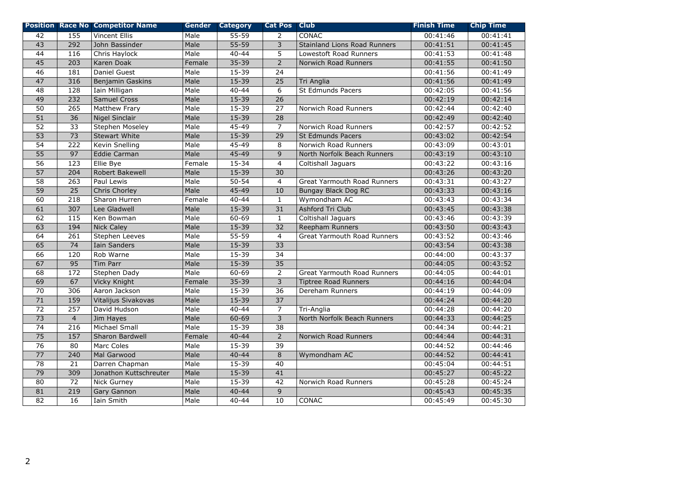|                 |                  | <b>Position Race No Competitor Name</b> |        | <b>Gender Category</b> | <b>Cat Pos</b>  | <b>Club</b>                        | <b>Finish Time</b> | <b>Chip Time</b> |
|-----------------|------------------|-----------------------------------------|--------|------------------------|-----------------|------------------------------------|--------------------|------------------|
| 42              | 155              | <b>Vincent Ellis</b>                    | Male   | $55 - 59$              | $\overline{2}$  | CONAC                              | 00:41:46           | 00:41:41         |
| 43              | 292              | John Bassinder                          | Male   | $55 - 59$              | 3               | Stainland Lions Road Runners       | 00:41:51           | 00:41:45         |
| 44              | 116              | Chris Haylock                           | Male   | $40 - 44$              | 5               | Lowestoft Road Runners             | 00:41:53           | 00:41:48         |
| $\overline{45}$ | $\overline{203}$ | Karen Doak                              | Female | $35 - 39$              | $\overline{2}$  | Norwich Road Runners               | 00:41:55           | 00:41:50         |
| 46              | 181              | Daniel Guest                            | Male   | $15 - 39$              | $\overline{24}$ |                                    | 00:41:56           | 00:41:49         |
| 47              | 316              | Benjamin Gaskins                        | Male   | $15 - 39$              | $\overline{25}$ | Tri Anglia                         | 00:41:56           | 00:41:49         |
| $\overline{48}$ | 128              | Iain Milligan                           | Male   | $40 - 44$              | 6               | St Edmunds Pacers                  | 00:42:05           | 00:41:56         |
| $\overline{49}$ | $\overline{232}$ | <b>Samuel Cross</b>                     | Male   | $15 - 39$              | $\overline{26}$ |                                    | 00:42:19           | 00:42:14         |
| 50              | 265              | Matthew Frary                           | Male   | $15 - 39$              | 27              | Norwich Road Runners               | 00:42:44           | 00:42:40         |
| 51              | 36               | <b>Nigel Sinclair</b>                   | Male   | $15 - 39$              | $\overline{28}$ |                                    | 00:42:49           | 00:42:40         |
| 52              | $\overline{33}$  | Stephen Moseley                         | Male   | $45 - 49$              | $\overline{7}$  | Norwich Road Runners               | 00:42:57           | 00:42:52         |
| $\overline{53}$ | $\overline{73}$  | <b>Stewart White</b>                    | Male   | $15 - 39$              | $\overline{29}$ | <b>St Edmunds Pacers</b>           | 00:43:02           | 00:42:54         |
| 54              | 222              | Kevin Snelling                          | Male   | $45 - 49$              | 8               | Norwich Road Runners               | 00:43:09           | 00:43:01         |
| 55              | 97               | <b>Eddie Carman</b>                     | Male   | 45-49                  | $\overline{9}$  | North Norfolk Beach Runners        | 00:43:19           | 00:43:10         |
| 56              | 123              | Ellie Bye                               | Female | 15-34                  | $\overline{4}$  | Coltishall Jaguars                 | 00:43:22           | 00:43:16         |
| $\overline{57}$ | 204              | <b>Robert Bakewell</b>                  | Male   | $15 - 39$              | 30              |                                    | 00:43:26           | 00:43:20         |
| $\overline{58}$ | 263              | Paul Lewis                              | Male   | $50 - 54$              | $\overline{4}$  | <b>Great Yarmouth Road Runners</b> | 00:43:31           | 00:43:27         |
| 59              | $\overline{25}$  | Chris Chorley                           | Male   | $45 - 49$              | 10              | <b>Bungay Black Dog RC</b>         | 00:43:33           | 00:43:16         |
| 60              | $\overline{218}$ | Sharon Hurren                           | Female | $40 - 44$              | $\mathbf{1}$    | Wymondham AC                       | 00:43:43           | 00:43:34         |
| $\overline{61}$ | 307              | Lee Gladwell                            | Male   | $15 - 39$              | $\overline{31}$ | Ashford Tri Club                   | 00:43:45           | 00:43:38         |
| 62              | 115              | Ken Bowman                              | Male   | 60-69                  | $\mathbf{1}$    | Coltishall Jaguars                 | 00:43:46           | 00:43:39         |
| 63              | 194              | <b>Nick Caley</b>                       | Male   | $15 - 39$              | $\overline{32}$ | Reepham Runners                    | 00:43:50           | 00:43:43         |
| 64              | 261              | Stephen Leeves                          | Male   | $55 - 59$              | $\overline{4}$  | <b>Great Yarmouth Road Runners</b> | 00:43:52           | 00:43:46         |
| 65              | 74               | Iain Sanders                            | Male   | $15 - 39$              | 33              |                                    | 00:43:54           | 00:43:38         |
| 66              | 120              | Rob Warne                               | Male   | $15 - 39$              | 34              |                                    | 00:44:00           | 00:43:37         |
| 67              | 95               | Tim Parr                                | Male   | $15 - 39$              | $\overline{35}$ |                                    | 00:44:05           | 00:43:52         |
| 68              | 172              | Stephen Dady                            | Male   | $60 - 69$              | $\overline{2}$  | <b>Great Yarmouth Road Runners</b> | 00:44:05           | 00:44:01         |
| $\overline{69}$ | 67               | Vicky Knight                            | Female | $35 - 39$              | $\overline{3}$  | <b>Tiptree Road Runners</b>        | 00:44:16           | 00:44:04         |
| 70              | 306              | Aaron Jackson                           | Male   | $15 - 39$              | 36              | Dereham Runners                    | 00:44:19           | 00:44:09         |
| 71              | 159              | Vitalijus Sivakovas                     | Male   | $15 - 39$              | $\overline{37}$ |                                    | 00:44:24           | 00:44:20         |
| $\overline{72}$ | 257              | David Hudson                            | Male   | $40 - 44$              | $\overline{7}$  | Tri-Anglia                         | 00:44:28           | 00:44:20         |
| $\overline{73}$ | $\overline{4}$   | Jim Hayes                               | Male   | 60-69                  | 3               | North Norfolk Beach Runners        | 00:44:33           | 00:44:25         |
| $\overline{74}$ | 216              | Michael Small                           | Male   | $15 - 39$              | $\overline{38}$ |                                    | 00:44:34           | 00:44:21         |
| 75              | 157              | Sharon Bardwell                         | Female | $40 - 44$              | $\overline{2}$  | Norwich Road Runners               | 00:44:44           | 00:44:31         |
| $\overline{76}$ | $\overline{80}$  | Marc Coles                              | Male   | $15 - 39$              | $\overline{39}$ |                                    | 00:44:52           | 00:44:46         |
| $\overline{77}$ | $\overline{240}$ | Mal Garwood                             | Male   | $40 - 44$              | $\overline{8}$  | Wymondham AC                       | 00:44:52           | 00:44:41         |
| 78              | 21               | Darren Chapman                          | Male   | 15-39                  | 40              |                                    | 00:45:04           | 00:44:51         |
| 79              | 309              | Jonathon Kuttschreuter                  | Male   | $15 - 39$              | 41              |                                    | 00:45:27           | 00:45:22         |
| 80              | $\overline{72}$  | <b>Nick Gurney</b>                      | Male   | $15 - 39$              | 42              | Norwich Road Runners               | 00:45:28           | 00:45:24         |
| 81              | 219              | Gary Gannon                             | Male   | $40 - 44$              | 9               |                                    | 00:45:43           | 00:45:35         |
| 82              | 16               | Iain Smith                              | Male   | $40 - 44$              | 10              | CONAC                              | 00:45:49           | 00:45:30         |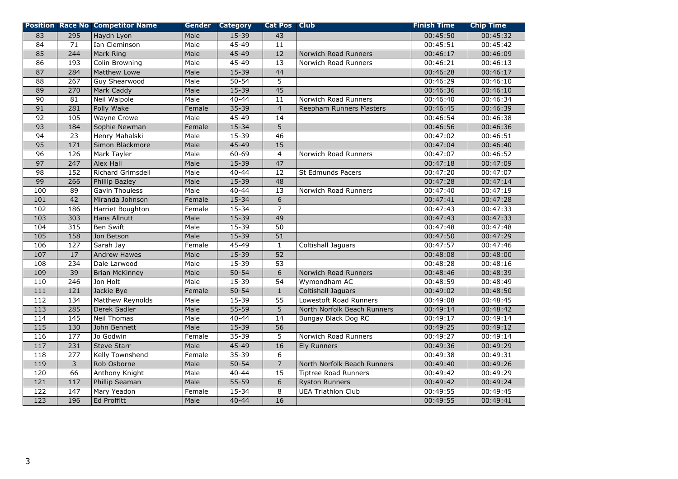|                  |                   | <b>Position Race No Competitor Name</b> |        | <b>Gender Category</b> | <b>Cat Pos Club</b> |                             | <b>Finish Time</b> | <b>Chip Time</b> |
|------------------|-------------------|-----------------------------------------|--------|------------------------|---------------------|-----------------------------|--------------------|------------------|
| 83               | 295               | Haydn Lyon                              | Male   | 15-39                  | 43                  |                             | 00:45:50           | 00:45:32         |
| 84               | 71                | Ian Cleminson                           | Male   | 45-49                  | 11                  |                             | 00:45:51           | 00:45:42         |
| 85               | 244               | Mark Ring                               | Male   | 45-49                  | 12                  | Norwich Road Runners        | 00:46:17           | 00:46:09         |
| 86               | $\frac{193}{ }$   | <b>Colin Browning</b>                   | Male   | $45 - 49$              | $\overline{13}$     | Norwich Road Runners        | 00:46:21           | 00:46:13         |
| 87               | 284               | <b>Matthew Lowe</b>                     | Male   | $15 - 39$              | 44                  |                             | 00:46:28           | 00:46:17         |
| 88               | 267               | Guy Shearwood                           | Male   | $50 - 54$              | 5                   |                             | 00:46:29           | 00:46:10         |
| 89               | 270               | Mark Caddy                              | Male   | 15-39                  | $\overline{45}$     |                             | 00:46:36           | 00:46:10         |
| $\overline{90}$  | 81                | Neil Walpole                            | Male   | $40 - 44$              | 11                  | Norwich Road Runners        | 00:46:40           | 00:46:34         |
| 91               | 281               | Polly Wake                              | Female | $35 - 39$              | $\overline{4}$      | Reepham Runners Masters     | 00:46:45           | 00:46:39         |
| 92               | $\frac{105}{105}$ | <b>Wayne Crowe</b>                      | Male   | $45 - 49$              | 14                  |                             | 00:46:54           | 00:46:38         |
| 93               | 184               | Sophie Newman                           | Female | $15 - 34$              | 5                   |                             | 00:46:56           | 00:46:36         |
| $\overline{94}$  | $\overline{23}$   | Henry Mahalski                          | Male   | $15 - 39$              | 46                  |                             | 00:47:02           | 00:46:51         |
| 95               | 171               | Simon Blackmore                         | Male   | $45 - 49$              | 15                  |                             | 00:47:04           | 00:46:40         |
| $\overline{96}$  | 126               | Mark Tayler                             | Male   | 60-69                  | $\overline{4}$      | Norwich Road Runners        | 00:47:07           | 00:46:52         |
| $\overline{97}$  | 247               | Alex Hall                               | Male   | 15-39                  | 47                  |                             | 00:47:18           | 00:47:09         |
| $\overline{98}$  | 152               | Richard Grimsdell                       | Male   | $40 - 44$              | $\overline{12}$     | St Edmunds Pacers           | 00:47:20           | 00:47:07         |
| 99               | 266               | Phillip Bazley                          | Male   | $15 - 39$              | 48                  |                             | 00:47:28           | 00:47:14         |
| 100              | 89                | Gavin Thouless                          | Male   | $40 - 44$              | 13                  | Norwich Road Runners        | 00:47:40           | 00:47:19         |
| 101              | $\overline{42}$   | Miranda Johnson                         | Female | $15 - 34$              | 6                   |                             | 00:47:41           | 00:47:28         |
| 102              | 186               | Harriet Boughton                        | Female | $15 - 34$              | $\overline{7}$      |                             | 00:47:43           | 00:47:33         |
| 103              | 303               | <b>Hans Allnutt</b>                     | Male   | 15-39                  | 49                  |                             | 00:47:43           | 00:47:33         |
| 104              | 315               | Ben Swift                               | Male   | $15 - 39$              | $\overline{50}$     |                             | 00:47:48           | 00:47:48         |
| 105              | 158               | Jon Betson                              | Male   | $15 - 39$              | $\overline{51}$     |                             | 00:47:50           | 00:47:29         |
| 106              | 127               | Sarah Jay                               | Female | 45-49                  | $\mathbf{1}$        | Coltishall Jaguars          | 00:47:57           | 00:47:46         |
| 107              | 17                | <b>Andrew Hawes</b>                     | Male   | $15 - 39$              | 52                  |                             | 00:48:08           | 00:48:00         |
| 108              | 234               | Dale Larwood                            | Male   | $15 - 39$              | $\overline{53}$     |                             | 00:48:28           | 00:48:16         |
| 109              | $\overline{39}$   | <b>Brian McKinney</b>                   | Male   | $50 - 54$              | $\overline{6}$      | <b>Norwich Road Runners</b> | 00:48:46           | 00:48:39         |
| 110              | $\overline{246}$  | Jon Holt                                | Male   | $15 - 39$              | $\overline{54}$     | Wymondham AC                | 00:48:59           | 00:48:49         |
| 111              | 121               | Jackie Bye                              | Female | $50 - 54$              | $\mathbf{1}$        | Coltishall Jaguars          | 00:49:02           | 00:48:50         |
| 112              | 134               | Matthew Reynolds                        | Male   | $15 - 39$              | $\overline{55}$     | Lowestoft Road Runners      | 00:49:08           | 00:48:45         |
| $\overline{113}$ | 285               | Derek Sadler                            | Male   | $55 - 59$              | $\overline{5}$      | North Norfolk Beach Runners | 00:49:14           | 00:48:42         |
| 114              | 145               | <b>Neil Thomas</b>                      | Male   | $40 - 44$              | 14                  | Bungay Black Dog RC         | 00:49:17           | 00:49:14         |
| 115              | 130               | John Bennett                            | Male   | $15 - 39$              | 56                  |                             | 00:49:25           | 00:49:12         |
| 116              | $\overline{177}$  | Jo Godwin                               | Female | $35 - 39$              | 5                   | Norwich Road Runners        | 00:49:27           | 00:49:14         |
| 117              | 231               | <b>Steve Starr</b>                      | Male   | $45 - 49$              | $\overline{16}$     | <b>Ely Runners</b>          | 00:49:36           | 00:49:29         |
| 118              | 277               | Kelly Townshend                         | Female | 35-39                  | 6                   |                             | 00:49:38           | 00:49:31         |
| 119              | 3                 | Rob Osborne                             | Male   | $50 - 54$              | $\overline{7}$      | North Norfolk Beach Runners | 00:49:40           | 00:49:26         |
| 120              | 66                | Anthony Knight                          | Male   | $40 - 44$              | 15                  | <b>Tiptree Road Runners</b> | 00:49:42           | 00:49:29         |
| 121              | 117               | Phillip Seaman                          | Male   | $55 - 59$              | 6                   | <b>Ryston Runners</b>       | 00:49:42           | 00:49:24         |
| $\overline{122}$ | 147               | Mary Yeadon                             | Female | 15-34                  | 8                   | <b>UEA Triathlon Club</b>   | 00:49:55           | 00:49:45         |
| $\overline{123}$ | 196               | Ed Proffitt                             | Male   | $40 - 44$              | 16                  |                             | 00:49:55           | 00:49:41         |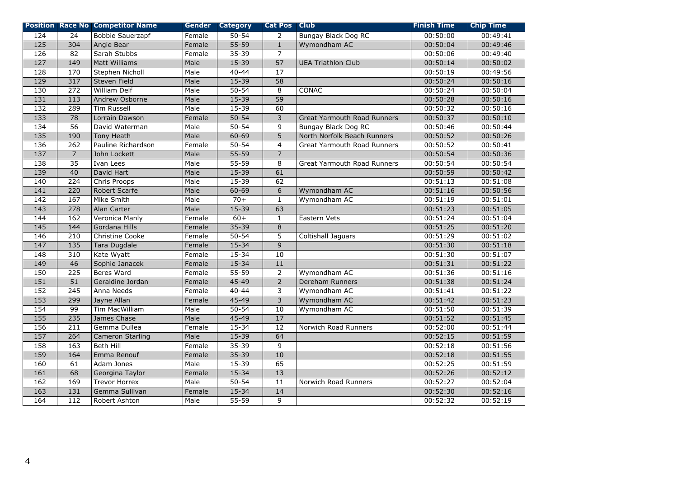|                   |                  | <b>Position Race No Competitor Name</b> |        | <b>Gender Category</b> | <b>Cat Pos Club</b> |                                    | <b>Finish Time</b> | <b>Chip Time</b> |
|-------------------|------------------|-----------------------------------------|--------|------------------------|---------------------|------------------------------------|--------------------|------------------|
| 124               | 24               | <b>Bobbie Sauerzapf</b>                 | Female | $50 - 54$              | 2                   | <b>Bungay Black Dog RC</b>         | 00:50:00           | 00:49:41         |
| $\overline{125}$  | 304              | Angie Bear                              | Female | $55 - 59$              | $\mathbf{1}$        | Wymondham AC                       | 00:50:04           | 00:49:46         |
| $\frac{126}{ }$   | 82               | Sarah Stubbs                            | Female | $35 - 39$              | $\overline{7}$      |                                    | 00:50:06           | 00:49:40         |
| $\overline{127}$  | 149              | <b>Matt Williams</b>                    | Male   | $15 - 39$              | $\overline{57}$     | <b>UEA Triathlon Club</b>          | 00:50:14           | 00:50:02         |
| $\overline{128}$  | 170              | Stephen Nicholl                         | Male   | $40 - 44$              | 17                  |                                    | 00:50:19           | 00:49:56         |
| 129               | 317              | <b>Steven Field</b>                     | Male   | $15 - 39$              | 58                  |                                    | 00:50:24           | 00:50:16         |
| 130               | 272              | <b>William Delf</b>                     | Male   | $50 - 54$              | 8                   | <b>CONAC</b>                       | 00:50:24           | 00:50:04         |
| 131               | $\frac{113}{2}$  | Andrew Osborne                          | Male   | $15 - 39$              | $\overline{59}$     |                                    | 00:50:28           | 00:50:16         |
| $\frac{132}{2}$   | 289              | <b>Tim Russell</b>                      | Male   | $15 - 39$              | 60                  |                                    | 00:50:32           | 00:50:16         |
| $\overline{133}$  | 78               | Lorrain Dawson                          | Female | $50 - 54$              | $\overline{3}$      | <b>Great Yarmouth Road Runners</b> | 00:50:37           | 00:50:10         |
| $\overline{134}$  | 56               | David Waterman                          | Male   | $50 - 54$              | 9                   | Bungay Black Dog RC                | 00:50:46           | 00:50:44         |
| $\overline{135}$  | 190              | Tony Heath                              | Male   | 60-69                  | 5                   | North Norfolk Beach Runners        | 00:50:52           | 00:50:26         |
| $\frac{136}{ }$   | 262              | Pauline Richardson                      | Female | $50 - 54$              | $\overline{4}$      | Great Yarmouth Road Runners        | 00:50:52           | 00:50:41         |
| $\overline{137}$  | $\overline{7}$   | John Lockett                            | Male   | $55 - 59$              | $\overline{7}$      |                                    | 00:50:54           | 00:50:36         |
| 138               | $\overline{35}$  | Ivan Lees                               | Male   | $55 - 59$              | 8                   | <b>Great Yarmouth Road Runners</b> | 00:50:54           | 00:50:54         |
| 139               | 40               | David Hart                              | Male   | $15 - 39$              | 61                  |                                    | 00:50:59           | 00:50:42         |
| 140               | 224              | Chris Proops                            | Male   | $15 - 39$              | 62                  |                                    | 00:51:13           | 00:51:08         |
| 141               | 220              | Robert Scarfe                           | Male   | 60-69                  | $6\overline{6}$     | Wymondham AC                       | 00:51:16           | 00:50:56         |
| 142               | 167              | Mike Smith                              | Male   | $70+$                  | $\mathbf{1}$        | Wymondham AC                       | 00:51:19           | 00:51:01         |
| $\frac{143}{ }$   | 278              | Alan Carter                             | Male   | $15 - 39$              | 63                  |                                    | 00:51:23           | 00:51:05         |
| 144               | 162              | Veronica Manly                          | Female | $60+$                  | $\mathbf{1}$        | Eastern Vets                       | 00:51:24           | 00:51:04         |
| $\frac{145}{145}$ | 144              | Gordana Hills                           | Female | $35 - 39$              | $\,8\,$             |                                    | 00:51:25           | 00:51:20         |
| 146               | $\overline{210}$ | <b>Christine Cooke</b>                  | Female | $50 - 54$              | $\overline{5}$      | Coltishall Jaguars                 | 00:51:29           | 00:51:02         |
| 147               | $\overline{135}$ | <b>Tara Dugdale</b>                     | Female | $15 - 34$              | $\overline{9}$      |                                    | 00:51:30           | 00:51:18         |
| 148               | 310              | Kate Wyatt                              | Female | $15 - 34$              | 10                  |                                    | 00:51:30           | 00:51:07         |
| 149               | 46               | Sophie Janacek                          | Female | $15 - 34$              | $\overline{11}$     |                                    | 00:51:31           | 00:51:22         |
| 150               | 225              | <b>Beres Ward</b>                       | Female | $55 - 59$              | $\overline{2}$      | Wymondham AC                       | 00:51:36           | 00:51:16         |
| 151               | $\overline{51}$  | Geraldine Jordan                        | Female | $45 - 49$              | $\overline{2}$      | Dereham Runners                    | 00:51:38           | 00:51:24         |
| 152               | $\overline{245}$ | Anna Needs                              | Female | $40 - 44$              | 3                   | Wymondham AC                       | 00:51:41           | 00:51:22         |
| 153               | 299              | Jayne Allan                             | Female | $45 - 49$              | $\overline{3}$      | Wymondham AC                       | 00:51:42           | 00:51:23         |
| 154               | 99               | <b>Tim MacWilliam</b>                   | Male   | $50 - 54$              | 10                  | Wymondham AC                       | 00:51:50           | 00:51:39         |
| 155               | 235              | James Chase                             | Male   | $45 - 49$              | $\overline{17}$     |                                    | 00:51:52           | 00:51:45         |
| 156               | $\overline{211}$ | Gemma Dullea                            | Female | $15 - 34$              | $\overline{12}$     | Norwich Road Runners               | 00:52:00           | 00:51:44         |
| 157               | 264              | Cameron Starling                        | Male   | $15 - 39$              | 64                  |                                    | 00:52:15           | 00:51:59         |
| 158               | 163              | <b>Beth Hill</b>                        | Female | $35 - 39$              | 9                   |                                    | 00:52:18           | 00:51:56         |
| 159               | 164              | Emma Renouf                             | Female | $35 - 39$              | $\overline{10}$     |                                    | 00:52:18           | 00:51:55         |
| 160               | 61               | Adam Jones                              | Male   | 15-39                  | 65                  |                                    | 00:52:25           | 00:51:59         |
| 161               | 68               | Georgina Taylor                         | Female | $15 - 34$              | 13                  |                                    | 00:52:26           | 00:52:12         |
| 162               | 169              | <b>Trevor Horrex</b>                    | Male   | $50 - 54$              | 11                  | Norwich Road Runners               | 00:52:27           | 00:52:04         |
| $\overline{163}$  | 131              | Gemma Sullivan                          | Female | $15 - 34$              | 14                  |                                    | 00:52:30           | 00:52:16         |
| 164               | 112              | Robert Ashton                           | Male   | 55-59                  | 9                   |                                    | 00:52:32           | 00:52:19         |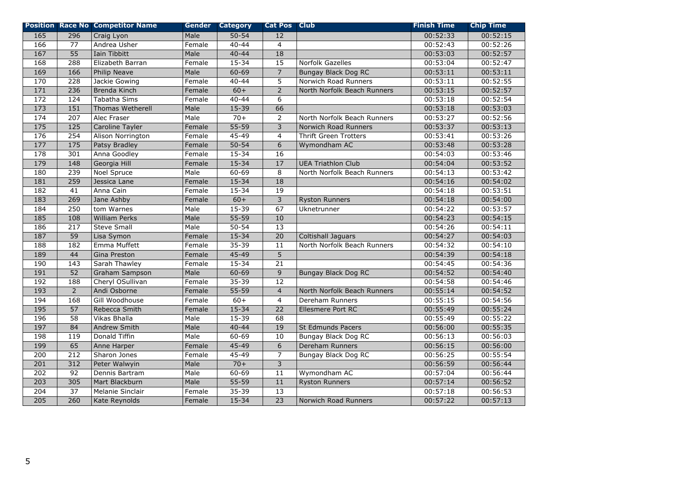|                  |                  | <b>Position Race No Competitor Name</b> |        | <b>Gender Category</b> | <b>Cat Pos Club</b> |                              | <b>Finish Time</b> | <b>Chip Time</b> |
|------------------|------------------|-----------------------------------------|--------|------------------------|---------------------|------------------------------|--------------------|------------------|
| 165              | 296              | Craig Lyon                              | Male   | $50 - 54$              | 12                  |                              | 00:52:33           | 00:52:15         |
| 166              | 77               | Andrea Usher                            | Female | $40 - 44$              | $\overline{4}$      |                              | 00:52:43           | 00:52:26         |
| 167              | $\overline{55}$  | Iain Tibbitt                            | Male   | $40 - 44$              | $\overline{18}$     |                              | 00:53:03           | 00:52:57         |
| 168              | 288              | Elizabeth Barran                        | Female | 15-34                  | 15                  | Norfolk Gazelles             | 00:53:04           | 00:52:47         |
| 169              | 166              | Philip Neave                            | Male   | $60 - 69$              | $\overline{7}$      | Bungay Black Dog RC          | 00:53:11           | 00:53:11         |
| 170              | 228              | Jackie Gowing                           | Female | $40 - 44$              | 5                   | Norwich Road Runners         | 00:53:11           | 00:52:55         |
| 171              | 236              | Brenda Kinch                            | Female | $60+$                  | $\overline{2}$      | North Norfolk Beach Runners  | 00:53:15           | 00:52:57         |
| 172              | 124              | Tabatha Sims                            | Female | $40 - 44$              | 6                   |                              | 00:53:18           | 00:52:54         |
| $\frac{173}{2}$  | 151              | Thomas Wetherell                        | Male   | $15 - 39$              | 66                  |                              | 00:53:18           | 00:53:03         |
| 174              | 207              | Alec Fraser                             | Male   | $70+$                  | $\overline{2}$      | North Norfolk Beach Runners  | 00:53:27           | 00:52:56         |
| $\overline{175}$ | $\overline{125}$ | Caroline Tayler                         | Female | $55 - 59$              | 3                   | Norwich Road Runners         | 00:53:37           | 00:53:13         |
| 176              | 254              | Alison Norrington                       | Female | 45-49                  | 4                   | <b>Thrift Green Trotters</b> | 00:53:41           | 00:53:26         |
| 177              | 175              | Patsy Bradley                           | Female | $50 - 54$              | $\overline{6}$      | Wymondham AC                 | 00:53:48           | 00:53:28         |
| 178              | 301              | Anna Goodley                            | Female | 15-34                  | 16                  |                              | 00:54:03           | 00:53:46         |
| 179              | 148              | Georgia Hill                            | Female | $15 - 34$              | $\overline{17}$     | <b>UEA Triathlon Club</b>    | 00:54:04           | 00:53:52         |
| 180              | 239              | Noel Spruce                             | Male   | $60 - 69$              | 8                   | North Norfolk Beach Runners  | 00:54:13           | 00:53:42         |
| 181              | 259              | Jessica Lane                            | Female | $15 - 34$              | 18                  |                              | 00:54:16           | 00:54:02         |
| 182              | 41               | Anna Cain                               | Female | $15 - 34$              | 19                  |                              | 00:54:18           | 00:53:51         |
| $\overline{183}$ | 269              | Jane Ashby                              | Female | $60+$                  | 3                   | <b>Ryston Runners</b>        | 00:54:18           | 00:54:00         |
| 184              | 250              | tom Warnes                              | Male   | $15 - 39$              | 67                  | Uknetrunner                  | 00:54:22           | 00:53:57         |
| 185              | 108              | <b>William Perks</b>                    | Male   | $55 - 59$              | 10                  |                              | 00:54:23           | 00:54:15         |
| 186              | 217              | <b>Steve Small</b>                      | Male   | $50 - 54$              | 13                  |                              | 00:54:26           | 00:54:11         |
| 187              | $\overline{59}$  | Lisa Symon                              | Female | $15 - 34$              | $\overline{20}$     | <b>Coltishall Jaguars</b>    | 00:54:27           | 00:54:03         |
| 188              | 182              | Emma Muffett                            | Female | $35 - 39$              | 11                  | North Norfolk Beach Runners  | 00:54:32           | 00:54:10         |
| 189              | 44               | Gina Preston                            | Female | $45 - 49$              | $\overline{5}$      |                              | 00:54:39           | 00:54:18         |
| 190              | 143              | Sarah Thawley                           | Female | $15 - 34$              | 21                  |                              | 00:54:45           | 00:54:36         |
| 191              | 52               | Graham Sampson                          | Male   | $60 - 69$              | $\overline{9}$      | <b>Bungay Black Dog RC</b>   | 00:54:52           | 00:54:40         |
| 192              | 188              | Cheryl OSullivan                        | Female | $35 - 39$              | 12                  |                              | 00:54:58           | 00:54:46         |
| 193              | $\overline{2}$   | Andi Osborne                            | Female | $55 - 59$              | $\overline{4}$      | North Norfolk Beach Runners  | 00:55:14           | 00:54:52         |
| 194              | 168              | Gill Woodhouse                          | Female | $60+$                  | $\overline{4}$      | Dereham Runners              | 00:55:15           | 00:54:56         |
| $\overline{195}$ | $\overline{57}$  | Rebecca Smith                           | Female | $15 - 34$              | $\overline{22}$     | Ellesmere Port RC            | 00:55:49           | 00:55:24         |
| 196              | 58               | Vikas Bhalla                            | Male   | $15 - 39$              | 68                  |                              | 00:55:49           | 00:55:22         |
| 197              | 84               | Andrew Smith                            | Male   | $40 - 44$              | 19                  | St Edmunds Pacers            | 00:56:00           | 00:55:35         |
| 198              | 119              | Donald Tiffin                           | Male   | $60 - 69$              | 10                  | <b>Bungay Black Dog RC</b>   | 00:56:13           | 00:56:03         |
| 199              | 65               | Anne Harper                             | Female | $45 - 49$              | 6                   | <b>Dereham Runners</b>       | 00:56:15           | 00:56:00         |
| $\overline{200}$ | 212              | Sharon Jones                            | Female | 45-49                  | $\overline{7}$      | Bungay Black Dog RC          | 00:56:25           | 00:55:54         |
| 201              | 312              | Peter Walwyin                           | Male   | $70+$                  | $\overline{3}$      |                              | 00:56:59           | 00:56:44         |
| 202              | 92               | Dennis Bartram                          | Male   | $60 - 69$              | 11                  | Wymondham AC                 | 00:57:04           | 00:56:44         |
| 203              | 305              | Mart Blackburn                          | Male   | $55 - 59$              | 11                  | <b>Ryston Runners</b>        | 00:57:14           | 00:56:52         |
| $\overline{204}$ | $\overline{37}$  | Melanie Sinclair                        | Female | 35-39                  | 13                  |                              | 00:57:18           | 00:56:53         |
| 205              | 260              | Kate Reynolds                           | Female | 15-34                  | $\overline{23}$     | Norwich Road Runners         | 00:57:22           | 00:57:13         |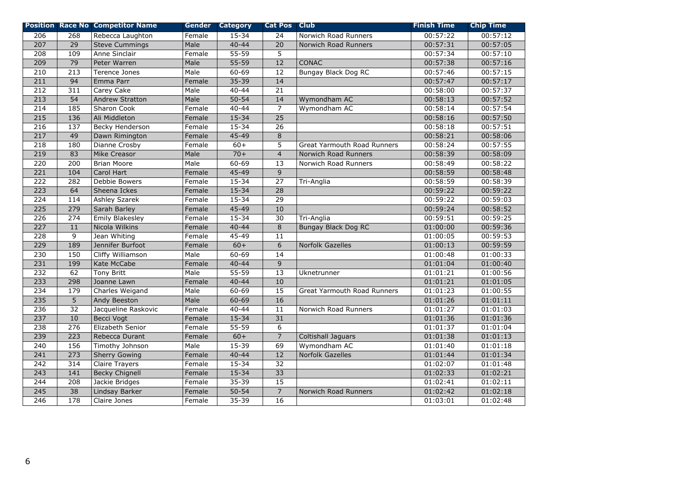|                  |                  | <b>Position Race No Competitor Name</b> |        | <b>Gender Category</b> | <b>Cat Pos Club</b> |                             | <b>Finish Time</b> | <b>Chip Time</b> |
|------------------|------------------|-----------------------------------------|--------|------------------------|---------------------|-----------------------------|--------------------|------------------|
| 206              | 268              | Rebecca Laughton                        | Female | $15 - 34$              | 24                  | Norwich Road Runners        | 00:57:22           | 00:57:12         |
| 207              | $\overline{29}$  | <b>Steve Cummings</b>                   | Male   | $40 - 44$              | 20                  | Norwich Road Runners        | 00:57:31           | 00:57:05         |
| $\overline{208}$ | 109              | Anne Sinclair                           | Female | $55 - 59$              | 5                   |                             | 00:57:34           | 00:57:10         |
| 209              | 79               | Peter Warren                            | Male   | $55 - 59$              | 12                  | CONAC                       | 00:57:38           | 00:57:16         |
| 210              | 213              | Terence Jones                           | Male   | $60 - 69$              | 12                  | <b>Bungay Black Dog RC</b>  | 00:57:46           | 00:57:15         |
| 211              | 94               | Emma Parr                               | Female | $35 - 39$              | 14                  |                             | 00:57:47           | 00:57:17         |
| 212              | 311              | Carey Cake                              | Male   | $40 - 44$              | $\overline{21}$     |                             | 00:58:00           | 00:57:37         |
| 213              | $\overline{54}$  | <b>Andrew Stratton</b>                  | Male   | $50 - 54$              | 14                  | Wymondham AC                | 00:58:13           | 00:57:52         |
| $\overline{214}$ | 185              | Sharon Cook                             | Female | $40 - 44$              | $\overline{7}$      | Wymondham AC                | 00:58:14           | 00:57:54         |
| 215              | 136              | Ali Middleton                           | Female | $15 - 34$              | $\overline{25}$     |                             | 00:58:16           | 00:57:50         |
| 216              | 137              | Becky Henderson                         | Female | $15 - 34$              | 26                  |                             | 00:58:18           | 00:57:51         |
| 217              | 49               | Dawn Rimington                          | Female | 45-49                  | $\,8\,$             |                             | 00:58:21           | 00:58:06         |
| 218              | 180              | Dianne Crosby                           | Female | $60+$                  | 5                   | Great Yarmouth Road Runners | 00:58:24           | 00:57:55         |
| 219              | 83               | Mike Creasor                            | Male   | $70+$                  | $\overline{4}$      | Norwich Road Runners        | 00:58:39           | 00:58:09         |
| 220              | 200              | <b>Brian Moore</b>                      | Male   | 60-69                  | 13                  | Norwich Road Runners        | 00:58:49           | 00:58:22         |
| $\overline{221}$ | 104              | Carol Hart                              | Female | $45 - 49$              | $9$                 |                             | 00:58:59           | 00:58:48         |
| 222              | 282              | Debbie Bowers                           | Female | $15 - 34$              | $\overline{27}$     | Tri-Anglia                  | 00:58:59           | 00:58:39         |
| 223              | 64               | Sheena Ickes                            | Female | $15 - 34$              | $\overline{28}$     |                             | 00:59:22           | 00:59:22         |
| 224              | 114              | <b>Ashley Szarek</b>                    | Female | $15 - 34$              | $\overline{29}$     |                             | 00:59:22           | 00:59:03         |
| 225              | 279              | Sarah Barley                            | Female | $45 - 49$              | 10                  |                             | 00:59:24           | 00:58:52         |
| 226              | 274              | <b>Emily Blakesley</b>                  | Female | $15 - 34$              | 30                  | Tri-Anglia                  | 00:59:51           | 00:59:25         |
| 227              | 11               | Nicola Wilkins                          | Female | $40 - 44$              | 8                   | <b>Bungay Black Dog RC</b>  | 01:00:00           | 00:59:36         |
| 228              | $\overline{9}$   | Jean Whiting                            | Female | $45 - 49$              | $\overline{11}$     |                             | 01:00:05           | 00:59:53         |
| $\overline{229}$ | 189              | Jennifer Burfoot                        | Female | $60+$                  | $\overline{6}$      | Norfolk Gazelles            | 01:00:13           | 00:59:59         |
| 230              | 150              | Cliffy Williamson                       | Male   | $60 - 69$              | 14                  |                             | 01:00:48           | 01:00:33         |
| 231              | 199              | Kate McCabe                             | Female | $40 - 44$              | $\overline{9}$      |                             | 01:01:04           | 01:00:40         |
| 232              | 62               | <b>Tony Britt</b>                       | Male   | $55 - 59$              | $\overline{13}$     | Uknetrunner                 | 01:01:21           | 01:00:56         |
| $\overline{233}$ | $\overline{298}$ | Joanne Lawn                             | Female | $40 - 44$              | 10                  |                             | 01:01:21           | 01:01:05         |
| 234              | 179              | Charles Weigand                         | Male   | $60 - 69$              | $\overline{15}$     | Great Yarmouth Road Runners | 01:01:23           | 01:00:55         |
| 235              | 5                | Andy Beeston                            | Male   | $60 - 69$              | 16                  |                             | 01:01:26           | 01:01:11         |
| 236              | $\overline{32}$  | Jacqueline Raskovic                     | Female | $40 - 44$              | 11                  | Norwich Road Runners        | 01:01:27           | 01:01:03         |
| $\overline{237}$ | 10               | Becci Vogt                              | Female | $15 - 34$              | 31                  |                             | 01:01:36           | 01:01:36         |
| 238              | $\overline{276}$ | Elizabeth Senior                        | Female | $55 - 59$              | $\,$ 6 $\,$         |                             | 01:01:37           | 01:01:04         |
| 239              | 223              | Rebecca Durant                          | Female | $60+$                  | $\overline{7}$      | <b>Coltishall Jaguars</b>   | 01:01:38           | 01:01:13         |
| $\overline{240}$ | 156              | Timothy Johnson                         | Male   | $15 - 39$              | 69                  | Wymondham AC                | 01:01:40           | 01:01:18         |
| 241              | 273              | <b>Sherry Gowing</b>                    | Female | $40 - 44$              | $\overline{12}$     | <b>Norfolk Gazelles</b>     | 01:01:44           | 01:01:34         |
| 242              | 314              | <b>Claire Trayers</b>                   | Female | 15-34                  | 32                  |                             | 01:02:07           | 01:01:48         |
| 243              | 141              | <b>Becky Chignell</b>                   | Female | $15 - 34$              | 33                  |                             | 01:02:33           | 01:02:21         |
| 244              | $\overline{208}$ | Jackie Bridges                          | Female | $35 - 39$              | $\overline{15}$     |                             | 01:02:41           | 01:02:11         |
| 245              | $\overline{38}$  | Lindsay Barker                          | Female | $50 - 54$              | $\overline{7}$      | Norwich Road Runners        | 01:02:42           | 01:02:18         |
| $\overline{246}$ | $\overline{178}$ | Claire Jones                            | Female | 35-39                  | 16                  |                             | 01:03:01           | 01:02:48         |